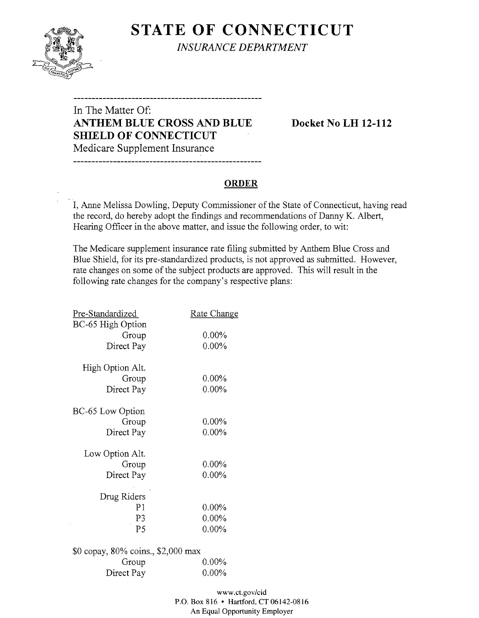

**STATE OF CONNECTICUT** *INSURANCE DEPARTMENT* 

# In The Matter Of: **ANTHEM BLUE CROSS AND BLUE Docket No LH 12-112 SHIELD OF CONNECTICUT**  Medicare Supplement Insurance

### **ORDER**

I, Anne Melissa Dowling, Deputy Commissioner of the State of Connecticut, having read the record, do hereby adopt the findings and recommendations of Danny K. Albert, Hearing Officer in the above matter, and issue the following order, to wit:

The Medicare supplement insurance rate filing submitted by Anthem Blue Cross and Blue Shield, for its pre-standardized products, is not approved as submitted. However, rate changes on some of the subject products are approved. This will result in the following rate changes for the company's respective plans:

| Pre-Standardized                   | <b>Rate Change</b> |
|------------------------------------|--------------------|
| BC-65 High Option                  |                    |
| Group                              | $0.00\%$           |
| Direct Pay                         | $0.00\%$           |
| High Option Alt.                   |                    |
| Group                              | $0.00\%$           |
| Direct Pay                         | $0.00\%$           |
| BC-65 Low Option                   |                    |
| Group                              | $0.00\%$           |
| Direct Pay                         | $0.00\%$           |
| Low Option Alt.                    |                    |
| Group                              | $0.00\%$           |
| Direct Pay                         | $0.00\%$           |
| Drug Riders                        |                    |
| P <sub>1</sub>                     | $0.00\%$           |
| P3                                 | $0.00\%$           |
| P <sub>5</sub>                     | $0.00\%$           |
|                                    |                    |
| \$0 copay, 80% coins., \$2,000 max |                    |
| Group                              | $0.00\%$           |
| Direct Pay                         | $0.00\%$           |

www.ct.gov/cid P.O. Box 816 • Hartford, CT 06142-0816 An Equal Opportunity Employer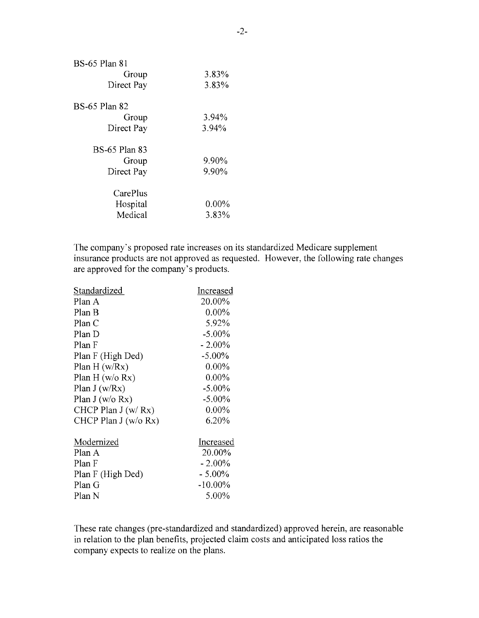| BS-65 Plan 81        |          |
|----------------------|----------|
| Group                | 3.83%    |
| Direct Pay           | 3.83%    |
| BS-65 Plan 82        |          |
| Group                | 3.94%    |
| Direct Pay           | 3.94%    |
| <b>BS-65 Plan 83</b> |          |
| Group                | 9.90%    |
| Direct Pay           | 9.90%    |
| CarePlus             |          |
| Hospital             | $0.00\%$ |
| Medical              | 3.83%    |
|                      |          |

The company's proposed rate increases on its standardized Medicare supplement insurance products are not approved as requested. However, the following rate changes are approved for the company's products.

| Increased  |
|------------|
| 20.00%     |
| $0.00\%$   |
| 5.92%      |
| $-5.00\%$  |
| $-2.00\%$  |
| $-5.00\%$  |
| $0.00\%$   |
| $0.00\%$   |
| $-5.00\%$  |
| $-5.00\%$  |
| $0.00\%$   |
| 6.20%      |
| Increased  |
| 20.00%     |
| $-2.00\%$  |
| $-5.00\%$  |
| $-10.00\%$ |
| 5.00%      |
|            |

These rate changes (pre-standardized and standardized) approved herein, are reasonable in relation to the plan benefits, projected claim costs and anticipated loss ratios the company expects to realize on the plans.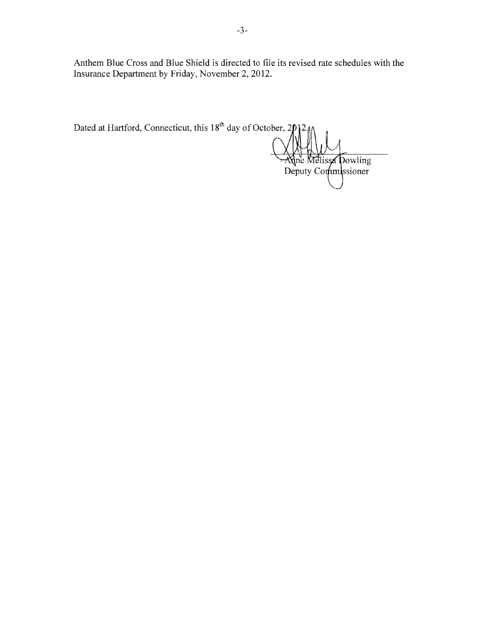Anthem Blue Cross and Blue Shield is directed to file its revised rate schedules with the Insurance Department by Friday, November 2,2012.

| Dated at Hartford, Connecticut, this 18 <sup>th</sup> day of October, 2012 M<br>Aline Melissa Dowling<br>Deputy Commissioner |  |
|------------------------------------------------------------------------------------------------------------------------------|--|
|                                                                                                                              |  |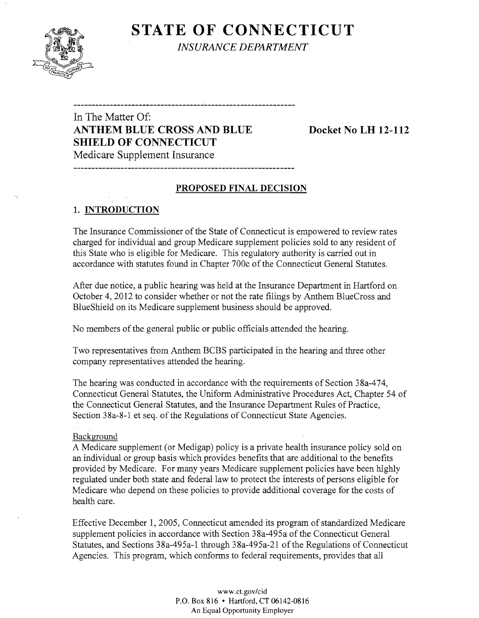

**STATE OF CONNECTICUT** *INSURANCE DEPARTMENT* 

# In The Matter Of: **ANTHEM BLUE CROSS AND BLUE Docket No LH 12-112 SHIELD OF CONNECTICUT**

Medicare Supplement Insurance

## **PROPOSED FINAL DECISION**

-------------------------------

## 1. **INTRODUCTION**

The Insurance Commissioner of the State of Connecticut is empowered to review rates charged for individual and group Medicare supplement policies sold to any resident of this State who is eligible for Medicare. This regulatory authority is carried out in accordance with statutes found in Chapter 700c of the Connecticut General Statutes.

After due notice, a public hearing was held at the Insurance Department in Hartford on October 4,2012 to consider whether or not the rate filings by Anthem BlueCross and BlueShield on its Medicare supplement business should be approved.

No members of the general public or public officials attended the hearing.

Two representatives from Anthem BCBS participated in the hearing and three other company representatives attended the hearing.

The hearing was conducted in accordance with the requirements of Section 38a-474, Connecticut General Statutes, the Uniform Administrative Procedures Act, Chapter 54 of the Connecticut General Statutes, and the Insurance Department Rules of Practice, Section 38a-8-1 et seq. of the Regulations of Connecticut State Agencies.

#### Background

A Medicare supplement (or Medigap) policy is a private health insurance policy sold on an individual or group basis which provides benefits that are additional to the benefits provided by Medicare. For many years Medicare supplement policies have been highly regulated under both state and federal law to protect the interests of persons eligible for Medicare who depend on these policies to provide additional coverage for the costs of health care.

Effective December 1, 2005, Connecticut amended its program of standardized Medicare supplement policies in accordance with Section 38a-495a of the Connecticut General Statutes, and Sections 38a-495a-1 through 38a-495a-21 of the Regulations of Connecticut Agencies. This program, which conforms to federal requirements, provides that all

> www.ct.gov/cid P.O. Box 816 • Hartford, CT 06142-0816 An Equal Opportunity Employer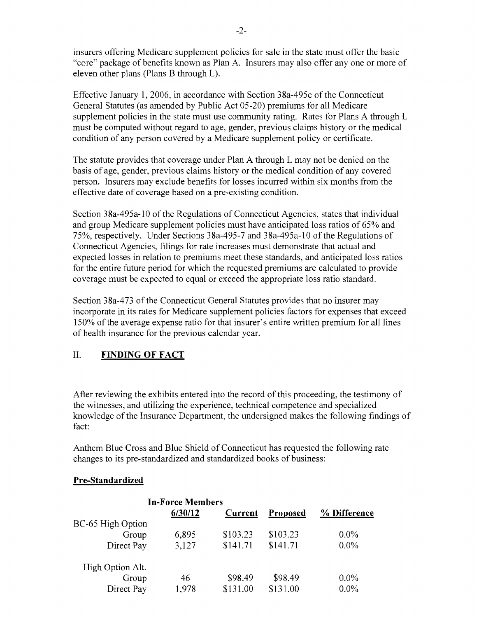insurers offering Medicare supplement policies for sale in the state must offer the basic "core" package of benefits known as Plan A. Insurers may also offer anyone or more of eleven other plans (Plans B through L).

Effective January 1,2006, in accordance with Section 38a-495c ofthe Connecticut General Statutes (as amended by Public Act 05-20) premiums for all Medicare supplement policies in the state must use community rating. Rates for Plans A through L must be computed without regard to age, gender, previous claims history or the medical condition of any person covered by a Medicare supplement policy or certificate.

The statute provides that coverage under Plan A through L may not be denied on the basis of age, gender, previous claims history or the medical condition of any covered person. Insurers may exclude benefits for losses incurred within six months from the effective date of coverage based on a pre-existing condition.

Section 38a-495a-10 of the Regulations of Connecticut Agencies, states that individual and group Medicare supplement policies must have anticipated loss ratios of 65% and 75%, respectively. Under Sections 38a-495-7 and 38a-495a-10 of the Regulations of Connecticut Agencies, filings for rate increases must demonstrate that actual and expected losses in relation to premiums meet these standards, and anticipated loss ratios for the entire future period for which the requested premiums are calculated to provide coverage must be expected to equal or exceed the appropriate loss ratio standard.

Section 38a-473 of the Connecticut General Statutes provides that no insurer may incorporate in its rates for Medicare supplement policies factors for expenses that exceed 150% of the average expense ratio for that insurer's entire written premium for all lines of health insurance for the previous calendar year.

## **II. FINDING OF FACT**

After reviewing the exhibits entered into the record of this proceeding, the testimony of the witnesses, and utilizing the experience, technical competence and specialized knowledge of the Insurance Department, the undersigned makes the following findings of fact:

Anthem Blue Cross and Blue Shield of Connecticut has requested the following rate changes to its pre-standardized and standardized books of business:

## **Pre-Standardized**

|                   | <b>In-Force Members</b> |                |                 |              |
|-------------------|-------------------------|----------------|-----------------|--------------|
|                   | 6/30/12                 | <b>Current</b> | <b>Proposed</b> | % Difference |
| BC-65 High Option |                         |                |                 |              |
| Group             | 6,895                   | \$103.23       | \$103.23        | $0.0\%$      |
| Direct Pay        | 3,127                   | \$141.71       | \$141.71        | $0.0\%$      |
| High Option Alt.  |                         |                |                 |              |
| Group             | 46                      | \$98.49        | \$98.49         | $0.0\%$      |
| Direct Pay        | 1,978                   | \$131.00       | \$131.00        | $0.0\%$      |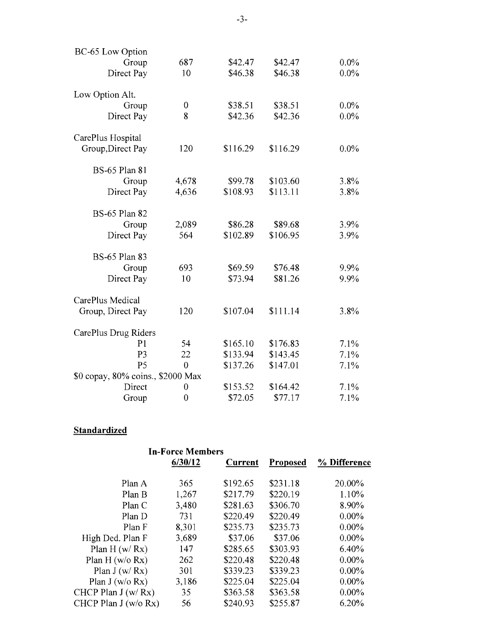| BC-65 Low Option                  |                |          |          |         |
|-----------------------------------|----------------|----------|----------|---------|
| Group                             | 687            | \$42.47  | \$42.47  | $0.0\%$ |
| Direct Pay                        | 10             | \$46.38  | \$46.38  | $0.0\%$ |
| Low Option Alt.                   |                |          |          |         |
| Group                             | $\mathbf 0$    | \$38.51  | \$38.51  | $0.0\%$ |
| Direct Pay                        | 8              | \$42.36  | \$42.36  | $0.0\%$ |
| CarePlus Hospital                 |                |          |          |         |
| Group, Direct Pay                 | 120            | \$116.29 | \$116.29 | $0.0\%$ |
| <b>BS-65 Plan 81</b>              |                |          |          |         |
| Group                             | 4,678          | \$99.78  | \$103.60 | 3.8%    |
| Direct Pay                        | 4,636          | \$108.93 | \$113.11 | 3.8%    |
| <b>BS-65 Plan 82</b>              |                |          |          |         |
| Group                             | 2,089          | \$86.28  | \$89.68  | 3.9%    |
| Direct Pay                        | 564            | \$102.89 | \$106.95 | 3.9%    |
| <b>BS-65 Plan 83</b>              |                |          |          |         |
| Group                             | 693            | \$69.59  | \$76.48  | 9.9%    |
| Direct Pay                        | 10             | \$73.94  | \$81.26  | 9.9%    |
| CarePlus Medical                  |                |          |          |         |
| Group, Direct Pay                 | 120            | \$107.04 | \$111.14 | 3.8%    |
| CarePlus Drug Riders              |                |          |          |         |
| P <sub>1</sub>                    | 54             | \$165.10 | \$176.83 | 7.1%    |
| P <sub>3</sub>                    | 22             | \$133.94 | \$143.45 | 7.1%    |
| P <sub>5</sub>                    | $\overline{0}$ | \$137.26 | \$147.01 | 7.1%    |
| \$0 copay, 80% coins., \$2000 Max |                |          |          |         |
| Direct                            | 0              | \$153.52 | \$164.42 | 7.1%    |
| Group                             | $\overline{0}$ | \$72.05  | \$77.17  | 7.1%    |

# **Standardized**

|                       | <b>In-Force Members</b> |                |                 |              |
|-----------------------|-------------------------|----------------|-----------------|--------------|
|                       | 6/30/12                 | <b>Current</b> | <b>Proposed</b> | % Difference |
|                       |                         |                |                 |              |
| Plan A                | 365                     | \$192.65       | \$231.18        | 20.00%       |
| Plan B                | 1,267                   | \$217.79       | \$220.19        | 1.10%        |
| Plan C                | 3,480                   | \$281.63       | \$306.70        | 8.90%        |
| Plan D                | 731                     | \$220.49       | \$220.49        | $0.00\%$     |
| Plan F                | 8,301                   | \$235.73       | \$235.73        | $0.00\%$     |
| High Ded. Plan F      | 3,689                   | \$37.06        | \$37.06         | $0.00\%$     |
| Plan H $(w/Rx)$       | 147                     | \$285.65       | \$303.93        | 6.40%        |
| Plan H $(w/o Rx)$     | 262                     | \$220.48       | \$220.48        | $0.00\%$     |
| Plan $J(w/Rx)$        | 301                     | \$339.23       | \$339.23        | $0.00\%$     |
| Plan J (w/o Rx)       | 3,186                   | \$225.04       | \$225.04        | $0.00\%$     |
| CHCP Plan $J(w/Rx)$   | 35                      | \$363.58       | \$363.58        | $0.00\%$     |
| CHCP Plan $J(w/o Rx)$ | 56                      | \$240.93       | \$255.87        | 6.20%        |
|                       |                         |                |                 |              |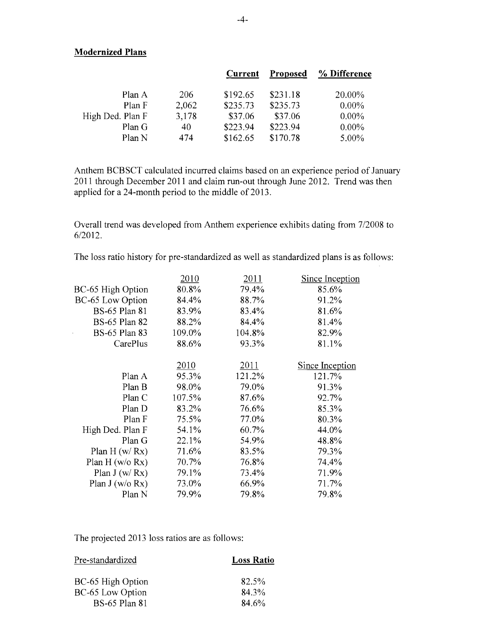#### **Modernized Plans**

l.

| % Difference |
|--------------|
| 20.00%       |
| $0.00\%$     |
| $0.00\%$     |
| $0.00\%$     |
| 5.00%        |
|              |

Anthem BCBSCT calculated incurred claims based on an experience period of January 2011 through December 2011 and claim run-out through June 2012. Trend was then applied for a 24-month period to the middle of 2013.

Overall trend was developed from Anthem experience exhibits dating from 7/2008 to 6/2012.

The loss ratio history for pre-standardized as well as standardized plans is as follows:

| 2010   | 2011   | Since Inception        |
|--------|--------|------------------------|
| 80.8%  | 79.4%  | 85.6%                  |
| 84.4%  | 88.7%  | 91.2%                  |
| 83.9%  | 83.4%  | 81.6%                  |
| 88.2%  | 84.4%  | 81.4%                  |
| 109.0% | 104.8% | 82.9%                  |
| 88.6%  | 93.3%  | 81.1%                  |
|        |        |                        |
| 2010   | 2011   | <b>Since Inception</b> |
| 95.3%  | 121.2% | 121.7%                 |
| 98.0%  | 79.0%  | 91.3%                  |
| 107.5% | 87.6%  | 92.7%                  |
| 83.2%  | 76.6%  | 85.3%                  |
| 75.5%  | 77.0%  | 80.3%                  |
| 54.1%  | 60.7%  | 44.0%                  |
| 22.1%  | 54.9%  | 48.8%                  |
| 71.6%  | 83.5%  | 79.3%                  |
| 70.7%  | 76.8%  | 74.4%                  |
| 79.1%  | 73.4%  | 71.9%                  |
| 73.0%  | 66.9%  | 71.7%                  |
| 79.9%  | 79.8%  | 79.8%                  |
|        |        |                        |

The projected 2013 loss ratios are as follows:

| Pre-standardized     | <b>Loss Ratio</b> |
|----------------------|-------------------|
| BC-65 High Option    | 82.5%             |
| BC-65 Low Option     | 84.3%             |
| <b>BS-65 Plan 81</b> | 84.6%             |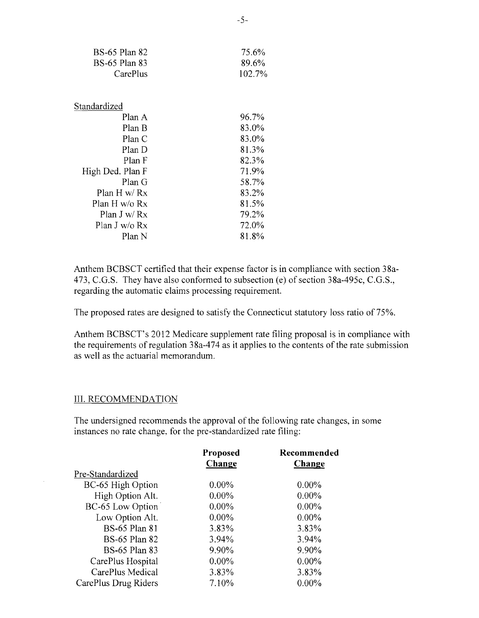| BS-65 Plan 82        | 75.6%  |
|----------------------|--------|
| <b>BS-65 Plan 83</b> | 89.6%  |
| CarePlus             | 102.7% |
|                      |        |
|                      |        |
| Standardized         |        |
| Plan A               | 96.7%  |
| Plan B               | 83.0%  |
| Plan C               | 83.0%  |
| Plan D               | 81.3%  |
| Plan F               | 82.3%  |
| High Ded. Plan F     | 71.9%  |
| Plan G               | 58.7%  |
| Plan H w/ $Rx$       | 83.2%  |
| Plan H w/o $Rx$      | 81.5%  |
| Plan J w/ $Rx$       | 79.2%  |
| Plan J w/o Rx        | 72.0%  |
| Plan N               | 81.8%  |

Anthem BCBSCT certified that their expense factor is in compliance with section 38a-473, C.G.S. They have also conformed to subsection (e) of section 38a-495c, C.G.S., regarding the automatic claims processing requirement.

The proposed rates are designed to satisfy the Connecticut statutory loss ratio of 75%.

Anthem BCBSCT's 2012 Medicare supplement rate filing proposal is in compliance with the requirements of regulation 38a-474 as it applies to the contents of the rate submission as well as the actuarial memorandum.

#### III. RECOMMENDATION

The undersigned recommends the approval of the following rate changes, in some instances no rate change, for the pre-standardized rate filing:

|                      | Proposed | Recommended |
|----------------------|----------|-------------|
|                      | Change   | Change      |
| Pre-Standardized     |          |             |
| BC-65 High Option    | $0.00\%$ | $0.00\%$    |
| High Option Alt.     | $0.00\%$ | $0.00\%$    |
| BC-65 Low Option     | $0.00\%$ | $0.00\%$    |
| Low Option Alt.      | $0.00\%$ | $0.00\%$    |
| <b>BS-65 Plan 81</b> | 3.83%    | 3.83%       |
| <b>BS-65 Plan 82</b> | 3.94%    | 3.94%       |
| <b>BS-65 Plan 83</b> | 9.90%    | 9.90%       |
| CarePlus Hospital    | $0.00\%$ | $0.00\%$    |
| CarePlus Medical     | 3.83%    | 3.83%       |
| CarePlus Drug Riders | 7.10%    | $0.00\%$    |